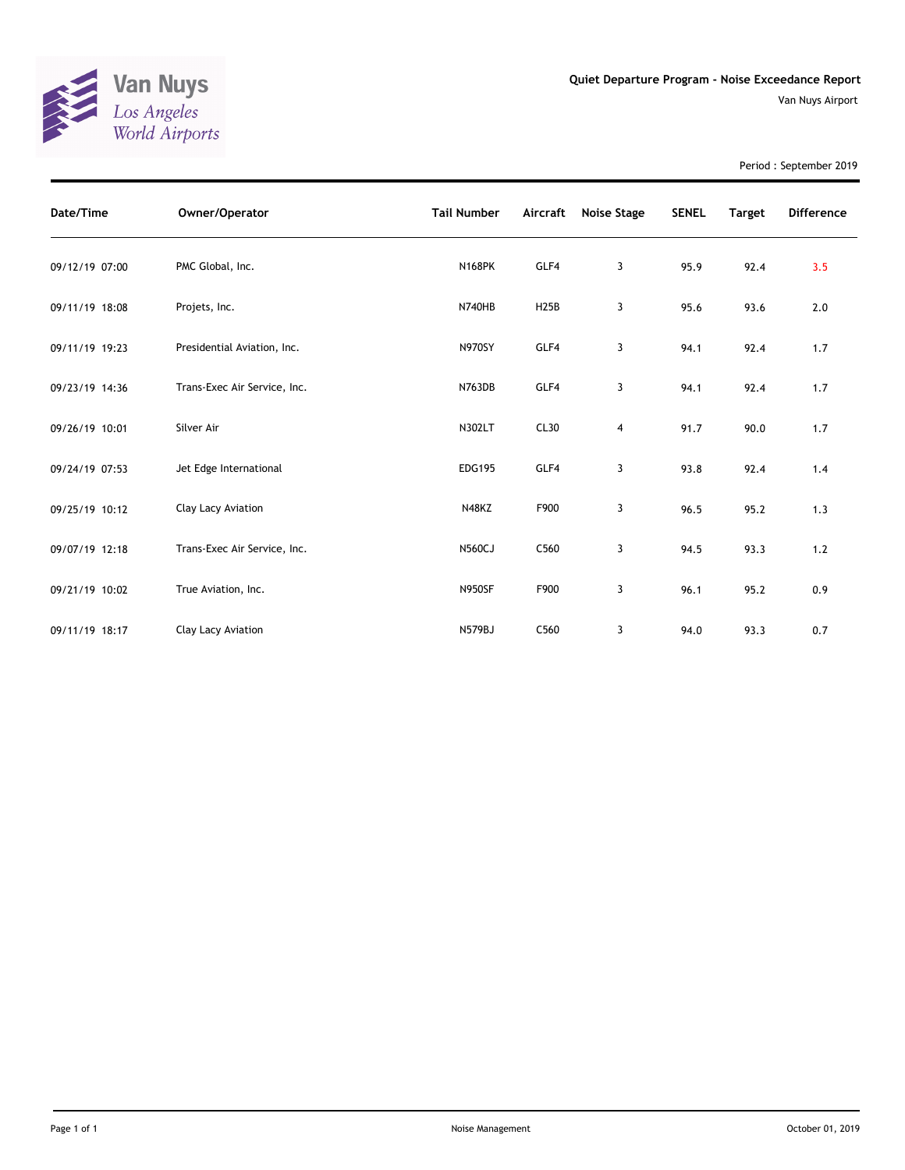

Period : September 2019

| Date/Time      | Owner/Operator               | <b>Tail Number</b> | Aircraft    | Noise Stage | <b>SENEL</b> | <b>Target</b> | <b>Difference</b> |
|----------------|------------------------------|--------------------|-------------|-------------|--------------|---------------|-------------------|
| 09/12/19 07:00 | PMC Global, Inc.             | <b>N168PK</b>      | GLF4        | 3           | 95.9         | 92.4          | 3.5               |
| 09/11/19 18:08 | Projets, Inc.                | <b>N740HB</b>      | <b>H25B</b> | 3           | 95.6         | 93.6          | $2.0$             |
| 09/11/19 19:23 | Presidential Aviation, Inc.  | <b>N970SY</b>      | GLF4        | 3           | 94.1         | 92.4          | 1.7               |
| 09/23/19 14:36 | Trans-Exec Air Service, Inc. | N763DB             | GLF4        | 3           | 94.1         | 92.4          | 1.7               |
| 09/26/19 10:01 | Silver Air                   | N302LT             | CL30        | 4           | 91.7         | 90.0          | 1.7               |
| 09/24/19 07:53 | Jet Edge International       | <b>EDG195</b>      | GLF4        | 3           | 93.8         | 92.4          | 1.4               |
| 09/25/19 10:12 | Clay Lacy Aviation           | N48KZ              | F900        | 3           | 96.5         | 95.2          | 1.3               |
| 09/07/19 12:18 | Trans-Exec Air Service, Inc. | <b>N560CJ</b>      | C560        | 3           | 94.5         | 93.3          | 1.2               |
| 09/21/19 10:02 | True Aviation, Inc.          | <b>N950SF</b>      | F900        | 3           | 96.1         | 95.2          | 0.9               |
| 09/11/19 18:17 | Clay Lacy Aviation           | <b>N579BJ</b>      | C560        | 3           | 94.0         | 93.3          | 0.7               |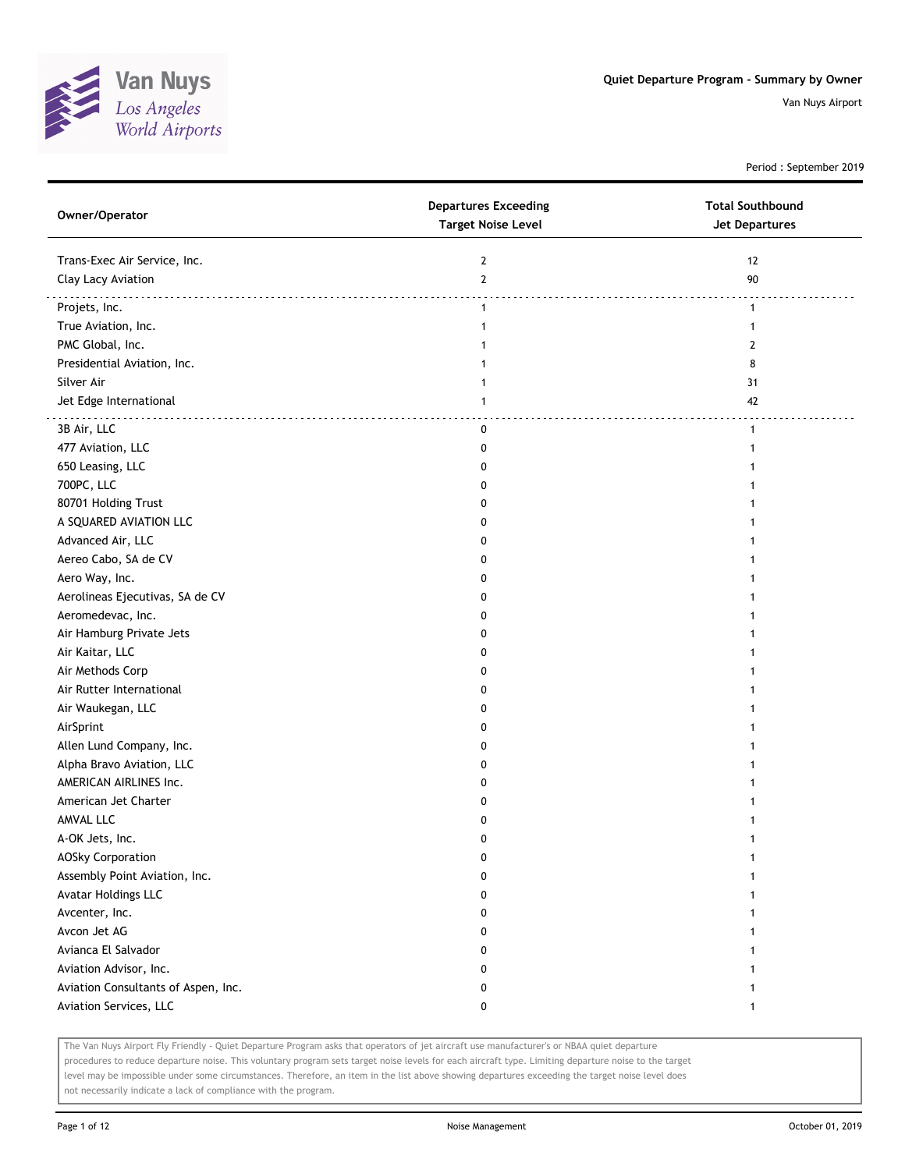

Period : September 2019

| Owner/Operator                      | <b>Departures Exceeding</b><br><b>Target Noise Level</b> | <b>Total Southbound</b><br><b>Jet Departures</b> |
|-------------------------------------|----------------------------------------------------------|--------------------------------------------------|
| Trans-Exec Air Service, Inc.        | $\mathbf{2}$                                             | 12                                               |
| Clay Lacy Aviation                  | $\overline{2}$                                           | 90                                               |
| Projets, Inc.                       | $\mathbf{1}$                                             | $\mathbf{1}$                                     |
| True Aviation, Inc.                 | $\mathbf{1}$                                             | $\mathbf{1}$                                     |
| PMC Global, Inc.                    |                                                          | 2                                                |
| Presidential Aviation, Inc.         |                                                          | 8                                                |
| Silver Air                          |                                                          | 31                                               |
| Jet Edge International              | 1                                                        | 42                                               |
| 3B Air, LLC                         | 0                                                        | $\mathbf{1}$                                     |
| 477 Aviation, LLC                   | 0                                                        | 1                                                |
| 650 Leasing, LLC                    | 0                                                        | 1                                                |
| 700PC, LLC                          | 0                                                        |                                                  |
| 80701 Holding Trust                 | 0                                                        | 1                                                |
| A SQUARED AVIATION LLC              | 0                                                        |                                                  |
| Advanced Air, LLC                   | 0                                                        | 1                                                |
| Aereo Cabo, SA de CV                | 0                                                        | 1                                                |
| Aero Way, Inc.                      | 0                                                        | 1                                                |
| Aerolineas Ejecutivas, SA de CV     | 0                                                        | 1                                                |
| Aeromedevac, Inc.                   | 0                                                        | 1                                                |
| Air Hamburg Private Jets            | 0                                                        | 1                                                |
| Air Kaitar, LLC                     | 0                                                        |                                                  |
| Air Methods Corp                    | 0                                                        |                                                  |
| Air Rutter International            | 0                                                        | 1                                                |
| Air Waukegan, LLC                   | 0                                                        |                                                  |
| AirSprint                           | 0                                                        | 1                                                |
| Allen Lund Company, Inc.            | 0                                                        | 1                                                |
| Alpha Bravo Aviation, LLC           | 0                                                        | 1                                                |
| AMERICAN AIRLINES Inc.              | 0                                                        | 1                                                |
| American Jet Charter                | 0                                                        | 1                                                |
| AMVAL LLC                           | 0                                                        | 1                                                |
| A-OK Jets, Inc.                     | 0                                                        | 1                                                |
| <b>AOSky Corporation</b>            | U                                                        |                                                  |
| Assembly Point Aviation, Inc.       | 0                                                        |                                                  |
| Avatar Holdings LLC                 | $\mathbf{0}$                                             | 1                                                |
| Avcenter, Inc.                      | 0                                                        | 1                                                |
| Avcon Jet AG                        | 0                                                        | 1                                                |
| Avianca El Salvador                 | 0                                                        | 1                                                |
| Aviation Advisor, Inc.              | 0                                                        | 1                                                |
| Aviation Consultants of Aspen, Inc. | 0                                                        | 1                                                |
| Aviation Services, LLC              | 0                                                        | $\mathbf{1}$                                     |

The Van Nuys Airport Fly Friendly - Quiet Departure Program asks that operators of jet aircraft use manufacturer's or NBAA quiet departure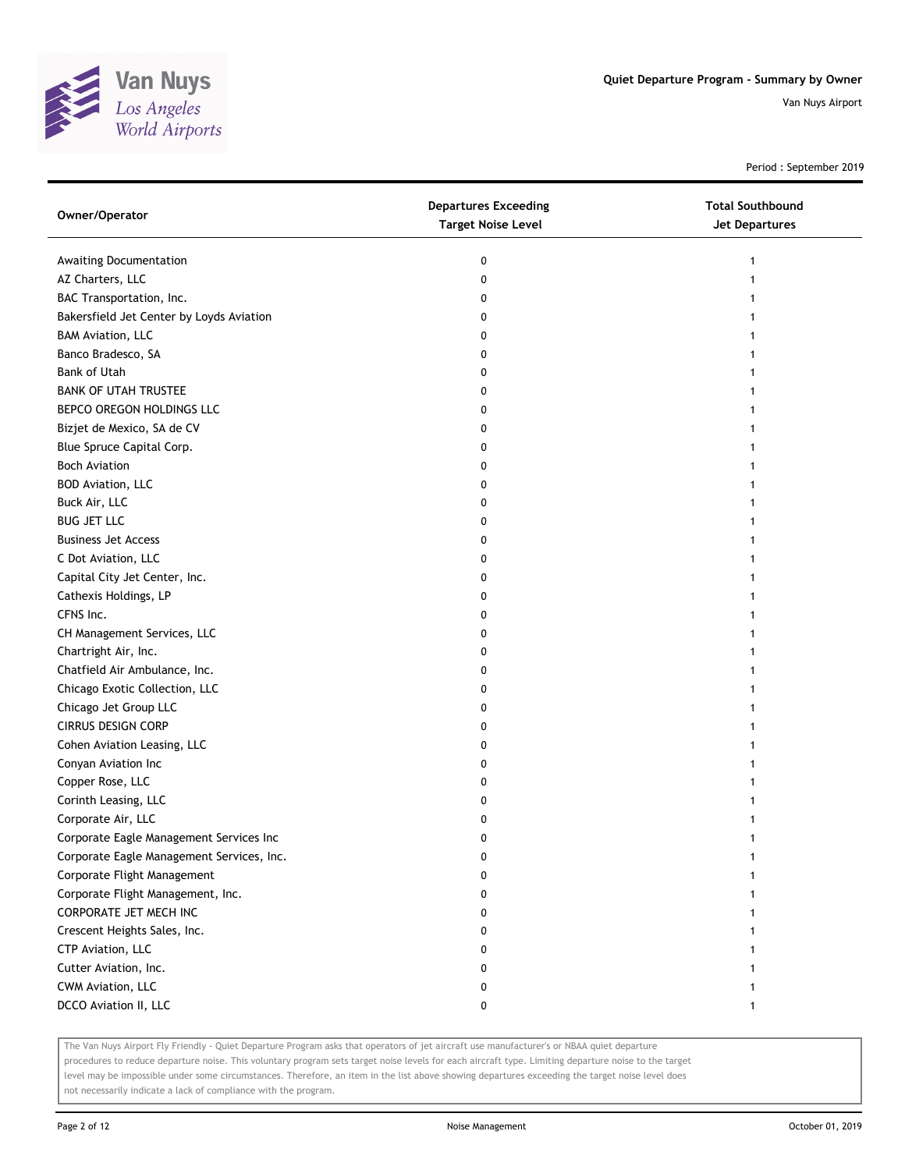

Period : September 2019

| Owner/Operator                            | <b>Departures Exceeding</b><br><b>Target Noise Level</b> | <b>Total Southbound</b><br><b>Jet Departures</b> |
|-------------------------------------------|----------------------------------------------------------|--------------------------------------------------|
| Awaiting Documentation                    | 0                                                        |                                                  |
| AZ Charters, LLC                          | 0                                                        |                                                  |
| BAC Transportation, Inc.                  | 0                                                        |                                                  |
| Bakersfield Jet Center by Loyds Aviation  | 0                                                        |                                                  |
| <b>BAM Aviation, LLC</b>                  | 0                                                        |                                                  |
| Banco Bradesco, SA                        | 0                                                        |                                                  |
| <b>Bank of Utah</b>                       | 0                                                        |                                                  |
| <b>BANK OF UTAH TRUSTEE</b>               | 0                                                        |                                                  |
| BEPCO OREGON HOLDINGS LLC                 | 0                                                        |                                                  |
| Bizjet de Mexico, SA de CV                | 0                                                        |                                                  |
| Blue Spruce Capital Corp.                 | 0                                                        |                                                  |
| <b>Boch Aviation</b>                      | 0                                                        |                                                  |
| BOD Aviation, LLC                         | 0                                                        |                                                  |
| Buck Air, LLC                             | 0                                                        |                                                  |
| <b>BUG JET LLC</b>                        | 0                                                        |                                                  |
| <b>Business Jet Access</b>                | 0                                                        |                                                  |
| C Dot Aviation, LLC                       | 0                                                        |                                                  |
| Capital City Jet Center, Inc.             | 0                                                        |                                                  |
| Cathexis Holdings, LP                     | 0                                                        |                                                  |
| CFNS Inc.                                 | 0                                                        |                                                  |
| CH Management Services, LLC               | 0                                                        |                                                  |
| Chartright Air, Inc.                      | 0                                                        |                                                  |
| Chatfield Air Ambulance, Inc.             | 0                                                        |                                                  |
| Chicago Exotic Collection, LLC            | 0                                                        |                                                  |
| Chicago Jet Group LLC                     | 0                                                        |                                                  |
| <b>CIRRUS DESIGN CORP</b>                 | 0                                                        |                                                  |
| Cohen Aviation Leasing, LLC               | 0                                                        |                                                  |
| Conyan Aviation Inc                       | 0                                                        |                                                  |
| Copper Rose, LLC                          | 0                                                        |                                                  |
| Corinth Leasing, LLC                      | 0                                                        |                                                  |
| Corporate Air, LLC                        | 0                                                        |                                                  |
| Corporate Eagle Management Services Inc   | 0                                                        |                                                  |
| Corporate Eagle Management Services, Inc. |                                                          |                                                  |
| Corporate Flight Management               |                                                          |                                                  |
| Corporate Flight Management, Inc.         | o                                                        |                                                  |
| CORPORATE JET MECH INC                    | 0                                                        |                                                  |
| Crescent Heights Sales, Inc.              | 0                                                        |                                                  |
| CTP Aviation, LLC                         | 0                                                        |                                                  |
| Cutter Aviation, Inc.                     | 0                                                        |                                                  |
| CWM Aviation, LLC                         | 0                                                        |                                                  |
| DCCO Aviation II, LLC                     | 0                                                        |                                                  |

The Van Nuys Airport Fly Friendly - Quiet Departure Program asks that operators of jet aircraft use manufacturer's or NBAA quiet departure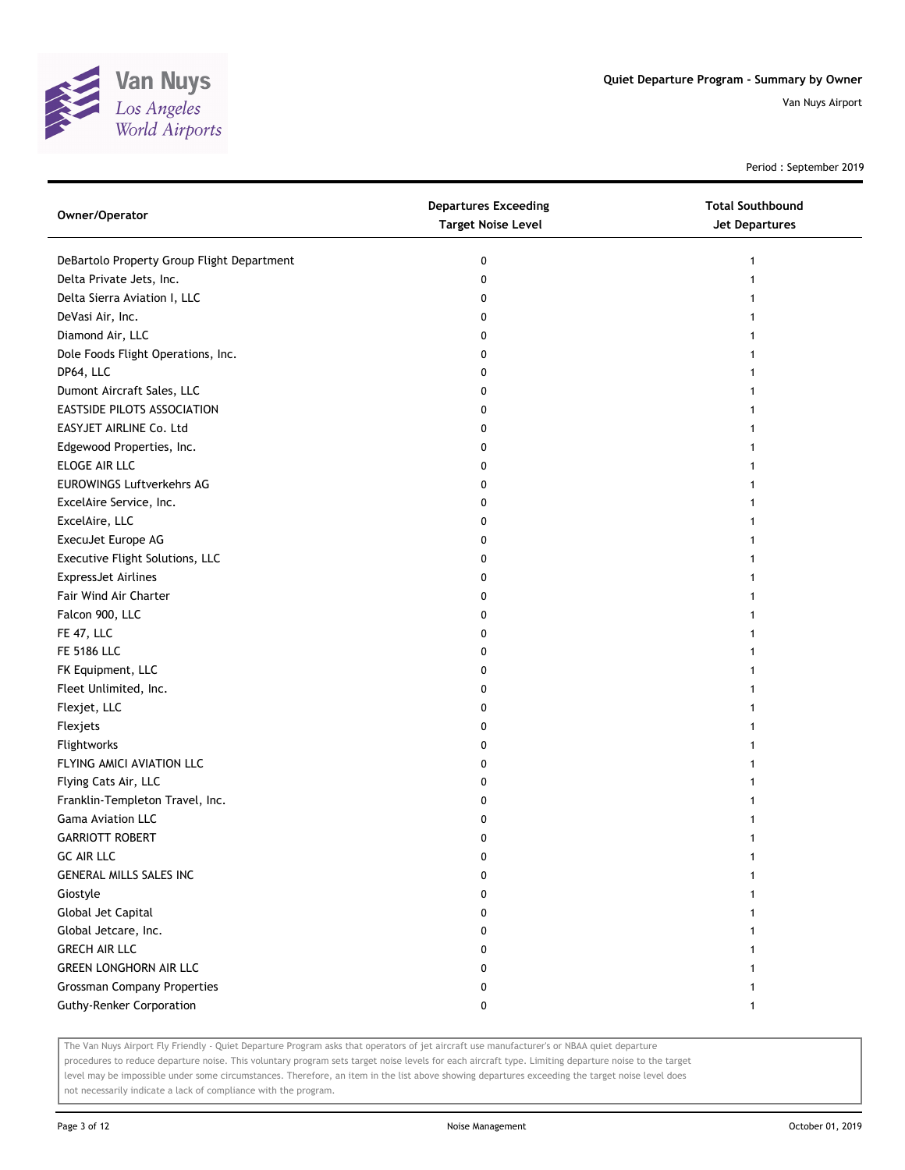

Period : September 2019

| Owner/Operator                             | <b>Departures Exceeding</b><br><b>Target Noise Level</b> | <b>Total Southbound</b><br>Jet Departures |
|--------------------------------------------|----------------------------------------------------------|-------------------------------------------|
| DeBartolo Property Group Flight Department | 0                                                        | 1                                         |
| Delta Private Jets, Inc.                   | 0                                                        |                                           |
| Delta Sierra Aviation I, LLC               | 0                                                        |                                           |
| DeVasi Air, Inc.                           | 0                                                        |                                           |
| Diamond Air, LLC                           | 0                                                        |                                           |
| Dole Foods Flight Operations, Inc.         | 0                                                        |                                           |
| DP64, LLC                                  | 0                                                        |                                           |
| Dumont Aircraft Sales, LLC                 | 0                                                        |                                           |
| EASTSIDE PILOTS ASSOCIATION                | 0                                                        |                                           |
| EASYJET AIRLINE Co. Ltd                    | 0                                                        |                                           |
| Edgewood Properties, Inc.                  | 0                                                        |                                           |
| ELOGE AIR LLC                              | 0                                                        |                                           |
| <b>EUROWINGS Luftverkehrs AG</b>           | 0                                                        |                                           |
| ExcelAire Service, Inc.                    | 0                                                        |                                           |
| ExcelAire, LLC                             | 0                                                        |                                           |
| ExecuJet Europe AG                         | 0                                                        |                                           |
| Executive Flight Solutions, LLC            | 0                                                        |                                           |
| <b>ExpressJet Airlines</b>                 | 0                                                        |                                           |
| Fair Wind Air Charter                      | 0                                                        |                                           |
| Falcon 900, LLC                            | 0                                                        |                                           |
| FE 47, LLC                                 | 0                                                        |                                           |
| FE 5186 LLC                                | 0                                                        |                                           |
| FK Equipment, LLC                          | 0                                                        |                                           |
| Fleet Unlimited, Inc.                      | 0                                                        |                                           |
| Flexjet, LLC                               | 0                                                        |                                           |
| Flexjets                                   | 0                                                        |                                           |
| Flightworks                                | 0                                                        |                                           |
| FLYING AMICI AVIATION LLC                  | 0                                                        |                                           |
| Flying Cats Air, LLC                       | 0                                                        |                                           |
| Franklin-Templeton Travel, Inc.            | 0                                                        |                                           |
| Gama Aviation LLC                          | 0                                                        |                                           |
| <b>GARRIOTT ROBERT</b>                     | 0                                                        |                                           |
| <b>GC AIR LLC</b>                          | 0                                                        |                                           |
| GENERAL MILLS SALES INC                    | 0                                                        |                                           |
| Giostyle                                   | 0                                                        |                                           |
| Global Jet Capital                         | 0                                                        |                                           |
| Global Jetcare, Inc.                       | 0                                                        |                                           |
| <b>GRECH AIR LLC</b>                       | 0                                                        |                                           |
| <b>GREEN LONGHORN AIR LLC</b>              | 0                                                        |                                           |
| <b>Grossman Company Properties</b>         | 0                                                        |                                           |
| <b>Guthy-Renker Corporation</b>            | 0                                                        |                                           |

The Van Nuys Airport Fly Friendly - Quiet Departure Program asks that operators of jet aircraft use manufacturer's or NBAA quiet departure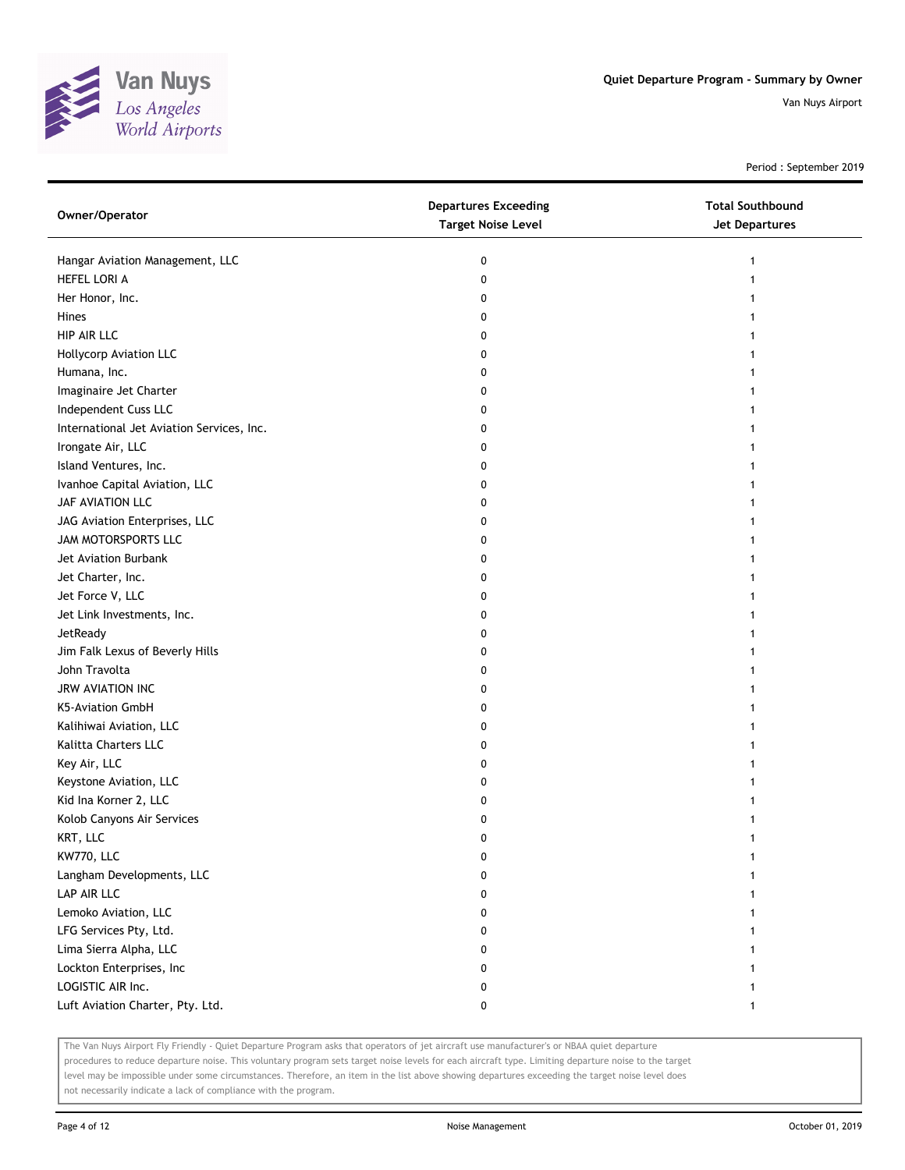

Period : September 2019

| Owner/Operator                            | <b>Departures Exceeding</b><br><b>Target Noise Level</b> | <b>Total Southbound</b><br>Jet Departures |
|-------------------------------------------|----------------------------------------------------------|-------------------------------------------|
| Hangar Aviation Management, LLC           | 0                                                        |                                           |
| HEFEL LORI A                              | 0                                                        |                                           |
| Her Honor, Inc.                           | 0                                                        |                                           |
| Hines                                     | 0                                                        |                                           |
| HIP AIR LLC                               | 0                                                        |                                           |
| Hollycorp Aviation LLC                    | 0                                                        |                                           |
| Humana, Inc.                              | 0                                                        |                                           |
| Imaginaire Jet Charter                    | 0                                                        |                                           |
| Independent Cuss LLC                      | 0                                                        |                                           |
| International Jet Aviation Services, Inc. | 0                                                        |                                           |
| Irongate Air, LLC                         | 0                                                        |                                           |
| Island Ventures, Inc.                     | 0                                                        |                                           |
| Ivanhoe Capital Aviation, LLC             | 0                                                        |                                           |
| JAF AVIATION LLC                          | 0                                                        |                                           |
| JAG Aviation Enterprises, LLC             | 0                                                        |                                           |
| JAM MOTORSPORTS LLC                       | 0                                                        |                                           |
| Jet Aviation Burbank                      | 0                                                        |                                           |
| Jet Charter, Inc.                         | 0                                                        |                                           |
| Jet Force V, LLC                          | 0                                                        |                                           |
| Jet Link Investments, Inc.                | 0                                                        |                                           |
| JetReady                                  | 0                                                        |                                           |
| Jim Falk Lexus of Beverly Hills           | 0                                                        |                                           |
| John Travolta                             | 0                                                        |                                           |
| <b>JRW AVIATION INC</b>                   | 0                                                        |                                           |
| K5-Aviation GmbH                          | 0                                                        |                                           |
| Kalihiwai Aviation, LLC                   | 0                                                        |                                           |
| Kalitta Charters LLC                      | 0                                                        |                                           |
| Key Air, LLC                              | 0                                                        |                                           |
| Keystone Aviation, LLC                    | 0                                                        |                                           |
| Kid Ina Korner 2, LLC                     | 0                                                        |                                           |
| Kolob Canyons Air Services                | 0                                                        |                                           |
| KRT, LLC                                  | 0                                                        |                                           |
| KW770, LLC                                | 0                                                        |                                           |
| Langham Developments, LLC                 | 0                                                        |                                           |
| LAP AIR LLC                               | 0                                                        |                                           |
| Lemoko Aviation, LLC                      | 0                                                        |                                           |
| LFG Services Pty, Ltd.                    | 0                                                        |                                           |
| Lima Sierra Alpha, LLC                    | 0                                                        |                                           |
| Lockton Enterprises, Inc                  | 0                                                        |                                           |
| LOGISTIC AIR Inc.                         | 0                                                        |                                           |
| Luft Aviation Charter, Pty. Ltd.          | 0                                                        | $\mathbf{1}$                              |

The Van Nuys Airport Fly Friendly - Quiet Departure Program asks that operators of jet aircraft use manufacturer's or NBAA quiet departure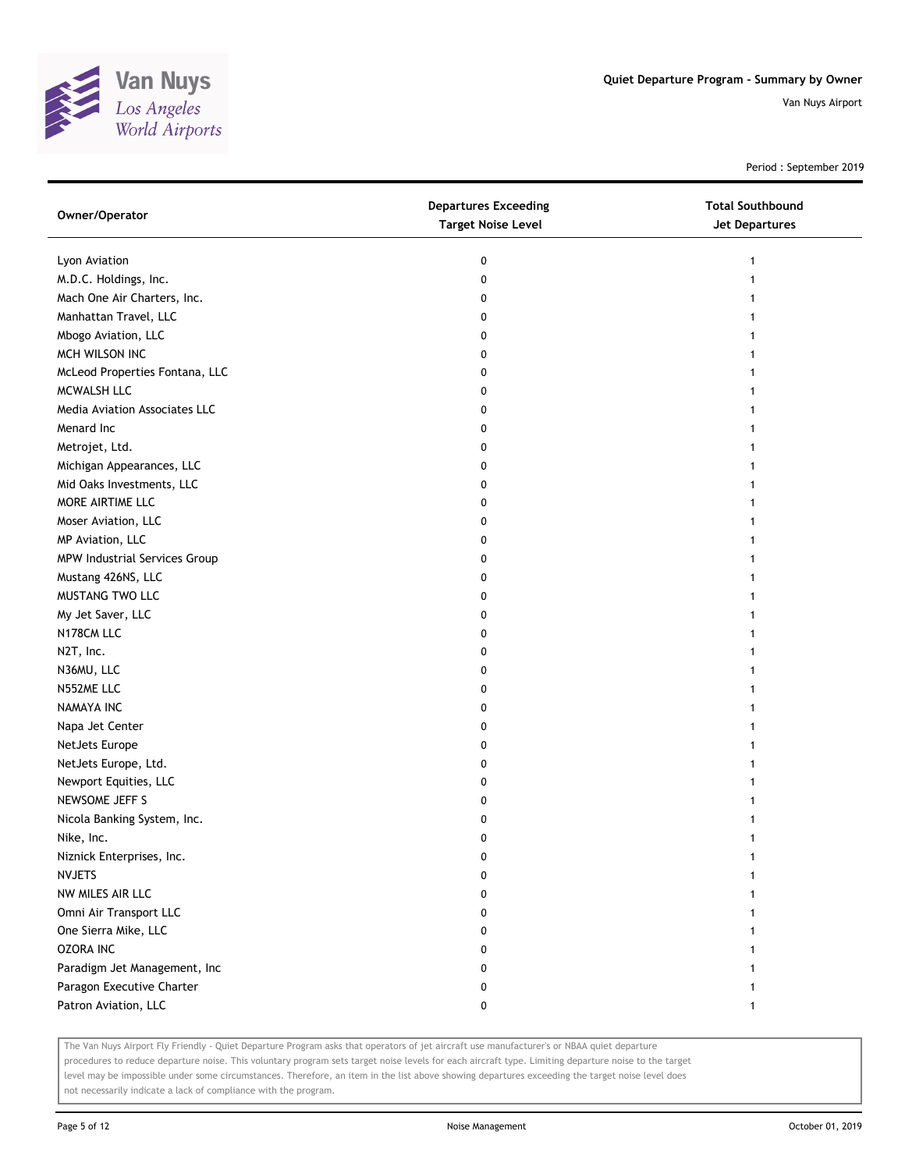

Period : September 2019

| Owner/Operator                       | <b>Departures Exceeding</b><br><b>Target Noise Level</b> | <b>Total Southbound</b><br>Jet Departures |
|--------------------------------------|----------------------------------------------------------|-------------------------------------------|
| Lyon Aviation                        | 0                                                        | 1                                         |
| M.D.C. Holdings, Inc.                | 0                                                        |                                           |
| Mach One Air Charters, Inc.          | 0                                                        |                                           |
| Manhattan Travel, LLC                | 0                                                        |                                           |
| Mbogo Aviation, LLC                  | 0                                                        |                                           |
| MCH WILSON INC                       | 0                                                        | 1                                         |
| McLeod Properties Fontana, LLC       | 0                                                        | 1                                         |
| MCWALSH LLC                          | 0                                                        |                                           |
| Media Aviation Associates LLC        | 0                                                        |                                           |
| Menard Inc                           | 0                                                        |                                           |
| Metrojet, Ltd.                       | 0                                                        |                                           |
| Michigan Appearances, LLC            | 0                                                        |                                           |
| Mid Oaks Investments, LLC            | 0                                                        |                                           |
| MORE AIRTIME LLC                     | 0                                                        |                                           |
| Moser Aviation, LLC                  | 0                                                        |                                           |
| MP Aviation, LLC                     | 0                                                        |                                           |
| <b>MPW Industrial Services Group</b> | 0                                                        |                                           |
| Mustang 426NS, LLC                   | 0                                                        |                                           |
| MUSTANG TWO LLC                      | 0                                                        |                                           |
| My Jet Saver, LLC                    | 0                                                        |                                           |
| N178CM LLC                           | 0                                                        |                                           |
| N2T, Inc.                            | 0                                                        |                                           |
| N36MU, LLC                           | 0                                                        |                                           |
| N552ME LLC                           | 0                                                        |                                           |
| NAMAYA INC                           | 0                                                        |                                           |
| Napa Jet Center                      | 0                                                        |                                           |
| NetJets Europe                       | 0                                                        |                                           |
| NetJets Europe, Ltd.                 | 0                                                        |                                           |
| Newport Equities, LLC                | 0                                                        |                                           |
| NEWSOME JEFF S                       | 0                                                        |                                           |
| Nicola Banking System, Inc.          | 0                                                        |                                           |
| Nike, Inc.                           | 0                                                        |                                           |
| Niznick Enterprises, Inc.            | 0                                                        |                                           |
| <b>NVJETS</b>                        | 0                                                        |                                           |
| NW MILES AIR LLC                     | 0                                                        |                                           |
| Omni Air Transport LLC               | 0                                                        |                                           |
| One Sierra Mike, LLC                 | 0                                                        |                                           |
| <b>OZORA INC</b>                     | 0                                                        |                                           |
| Paradigm Jet Management, Inc         | 0                                                        |                                           |
| Paragon Executive Charter            | 0                                                        |                                           |
| Patron Aviation, LLC                 | 0                                                        | $\mathbf{1}$                              |

The Van Nuys Airport Fly Friendly - Quiet Departure Program asks that operators of jet aircraft use manufacturer's or NBAA quiet departure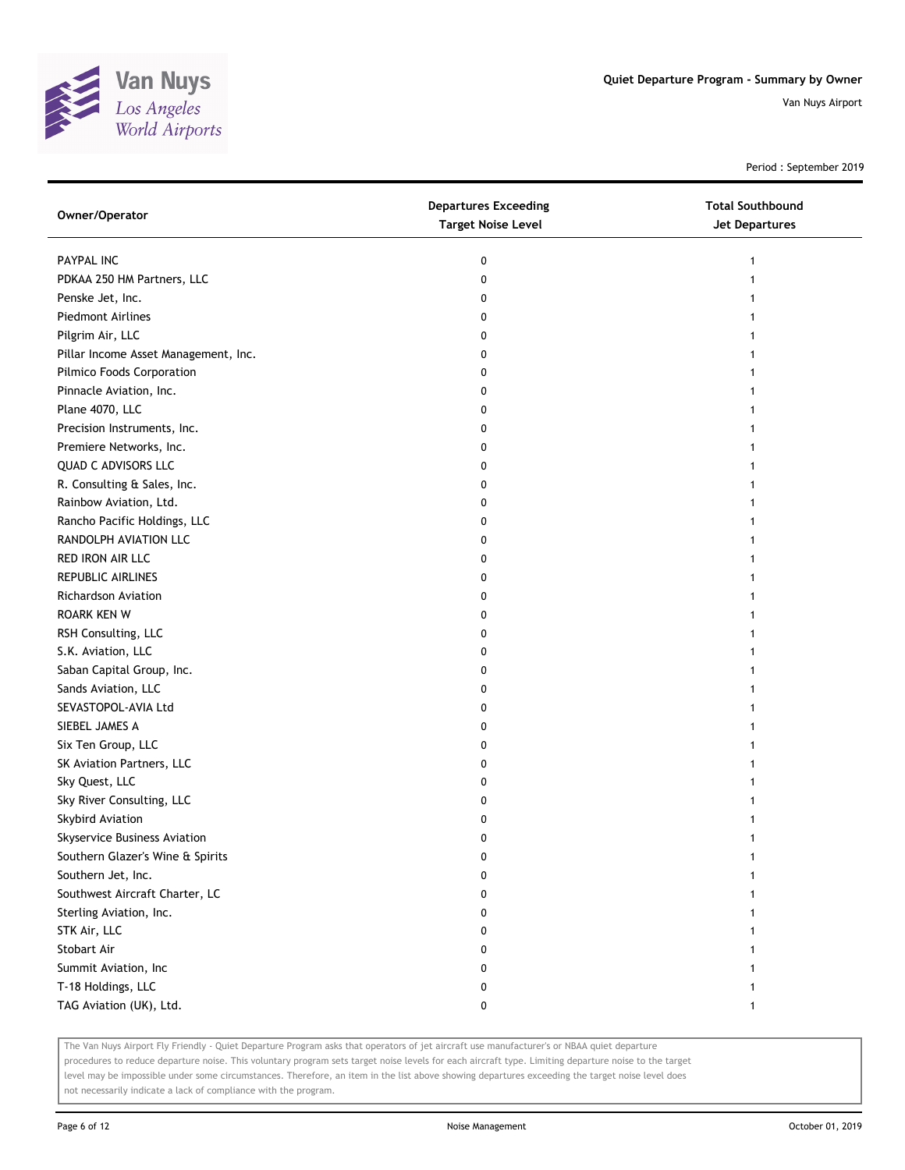

Period : September 2019

| Owner/Operator                       | <b>Departures Exceeding</b><br><b>Target Noise Level</b> | <b>Total Southbound</b><br><b>Jet Departures</b> |
|--------------------------------------|----------------------------------------------------------|--------------------------------------------------|
| PAYPAL INC                           | 0                                                        |                                                  |
| PDKAA 250 HM Partners, LLC           | 0                                                        |                                                  |
| Penske Jet, Inc.                     | 0                                                        |                                                  |
| <b>Piedmont Airlines</b>             | 0                                                        |                                                  |
| Pilgrim Air, LLC                     | 0                                                        |                                                  |
| Pillar Income Asset Management, Inc. | 0                                                        |                                                  |
| Pilmico Foods Corporation            | 0                                                        |                                                  |
| Pinnacle Aviation, Inc.              | 0                                                        |                                                  |
| Plane 4070, LLC                      | 0                                                        |                                                  |
| Precision Instruments, Inc.          | 0                                                        |                                                  |
| Premiere Networks, Inc.              | 0                                                        |                                                  |
| QUAD C ADVISORS LLC                  | 0                                                        |                                                  |
| R. Consulting & Sales, Inc.          | 0                                                        |                                                  |
| Rainbow Aviation, Ltd.               | 0                                                        |                                                  |
| Rancho Pacific Holdings, LLC         | 0                                                        |                                                  |
| RANDOLPH AVIATION LLC                | 0                                                        |                                                  |
| RED IRON AIR LLC                     | 0                                                        |                                                  |
| REPUBLIC AIRLINES                    | 0                                                        |                                                  |
| <b>Richardson Aviation</b>           | 0                                                        |                                                  |
| <b>ROARK KEN W</b>                   | 0                                                        |                                                  |
| RSH Consulting, LLC                  | 0                                                        |                                                  |
| S.K. Aviation, LLC                   | 0                                                        |                                                  |
| Saban Capital Group, Inc.            | 0                                                        |                                                  |
| Sands Aviation, LLC                  | 0                                                        |                                                  |
| SEVASTOPOL-AVIA Ltd                  | 0                                                        |                                                  |
| SIEBEL JAMES A                       | 0                                                        |                                                  |
| Six Ten Group, LLC                   | 0                                                        |                                                  |
| SK Aviation Partners, LLC            | 0                                                        |                                                  |
| Sky Quest, LLC                       | 0                                                        |                                                  |
| Sky River Consulting, LLC            | 0                                                        |                                                  |
| Skybird Aviation                     | 0                                                        |                                                  |
| Skyservice Business Aviation         | 0                                                        |                                                  |
| Southern Glazer's Wine & Spirits     | 0                                                        |                                                  |
| Southern Jet, Inc.                   | 0                                                        |                                                  |
| Southwest Aircraft Charter, LC       | 0                                                        |                                                  |
| Sterling Aviation, Inc.              | 0                                                        |                                                  |
| STK Air, LLC                         | 0                                                        |                                                  |
| Stobart Air                          | 0                                                        |                                                  |
| Summit Aviation, Inc                 | 0                                                        |                                                  |
| T-18 Holdings, LLC                   | 0                                                        |                                                  |
| TAG Aviation (UK), Ltd.              | 0                                                        | 1                                                |

The Van Nuys Airport Fly Friendly - Quiet Departure Program asks that operators of jet aircraft use manufacturer's or NBAA quiet departure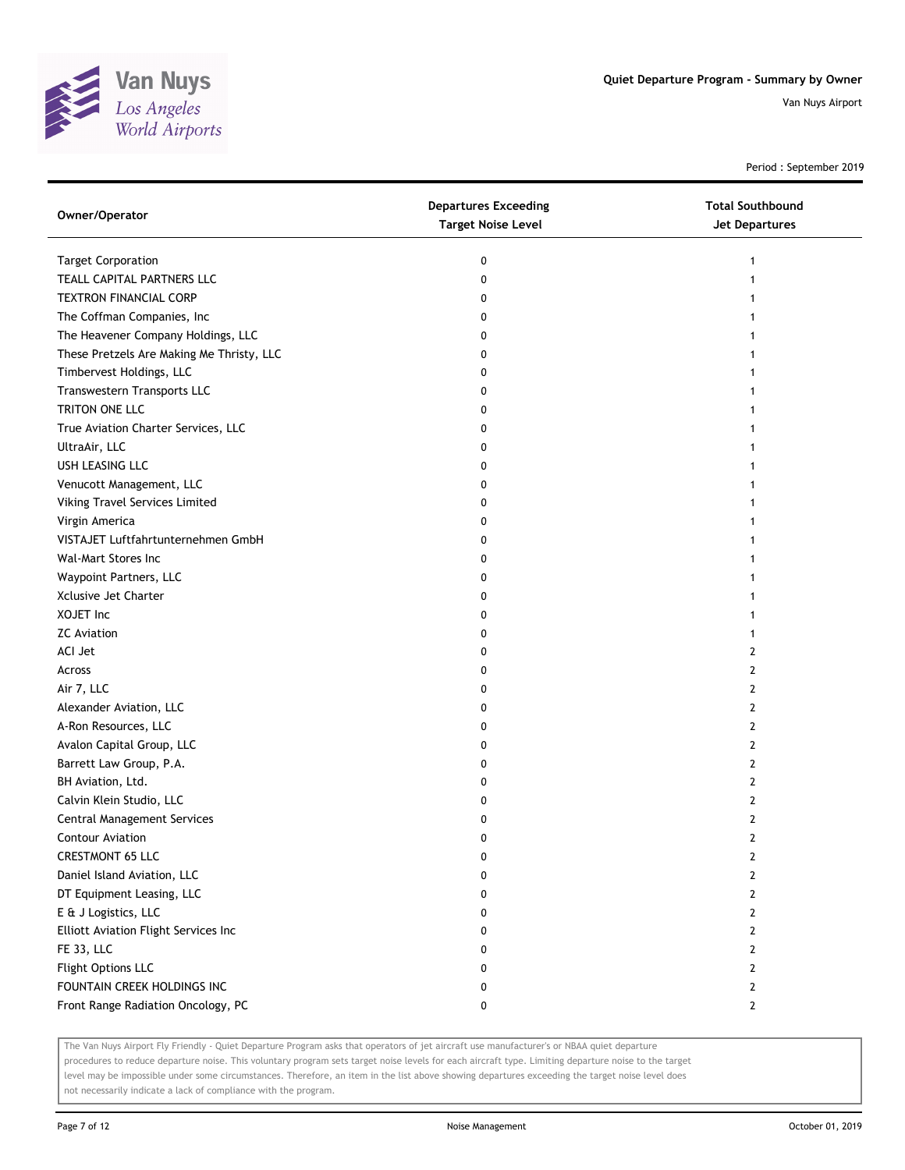

Period : September 2019

| <b>Target Corporation</b><br>0                            |  |
|-----------------------------------------------------------|--|
| 1                                                         |  |
| TEALL CAPITAL PARTNERS LLC<br>0<br>1                      |  |
| <b>TEXTRON FINANCIAL CORP</b><br>0                        |  |
| The Coffman Companies, Inc<br>0                           |  |
| The Heavener Company Holdings, LLC<br>0                   |  |
| These Pretzels Are Making Me Thristy, LLC<br>0            |  |
| Timbervest Holdings, LLC<br>0<br>1                        |  |
| Transwestern Transports LLC<br>0                          |  |
| TRITON ONE LLC<br>0                                       |  |
| True Aviation Charter Services, LLC<br>0                  |  |
| UltraAir, LLC<br>0                                        |  |
| USH LEASING LLC<br>0                                      |  |
| Venucott Management, LLC<br>0                             |  |
| Viking Travel Services Limited<br>0                       |  |
| Virgin America<br>0                                       |  |
| VISTAJET Luftfahrtunternehmen GmbH<br>0                   |  |
| Wal-Mart Stores Inc<br>0<br>1                             |  |
| Waypoint Partners, LLC<br>0                               |  |
| Xclusive Jet Charter<br>0                                 |  |
| XOJET Inc<br>0                                            |  |
| <b>ZC</b> Aviation<br>0                                   |  |
| ACI Jet<br>0<br>2                                         |  |
| Across<br>2<br>0                                          |  |
| Air 7, LLC<br>2<br>0                                      |  |
| Alexander Aviation, LLC<br>$\mathbf{2}$<br>0              |  |
| A-Ron Resources, LLC<br>0<br>2                            |  |
| Avalon Capital Group, LLC<br>0<br>2                       |  |
| Barrett Law Group, P.A.<br>0<br>2                         |  |
| BH Aviation, Ltd.<br>0<br>2                               |  |
| Calvin Klein Studio, LLC<br>2<br>0                        |  |
| Central Management Services<br>2<br>0                     |  |
| <b>Contour Aviation</b><br>2<br>0                         |  |
| <b>CRESTMONT 65 LLC</b><br>0<br>2                         |  |
| Daniel Island Aviation, LLC<br>0<br>2                     |  |
| DT Equipment Leasing, LLC<br>$\overline{2}$<br>0          |  |
| E & J Logistics, LLC<br>$\mathbf{2}$<br>0                 |  |
| Elliott Aviation Flight Services Inc<br>0<br>$\mathbf{2}$ |  |
| FE 33, LLC<br>0<br>$\mathbf{2}$                           |  |
| Flight Options LLC<br>0<br>2                              |  |
| FOUNTAIN CREEK HOLDINGS INC<br>0<br>$\mathbf{2}$          |  |
| Front Range Radiation Oncology, PC<br>0<br>$\mathbf{2}$   |  |

The Van Nuys Airport Fly Friendly - Quiet Departure Program asks that operators of jet aircraft use manufacturer's or NBAA quiet departure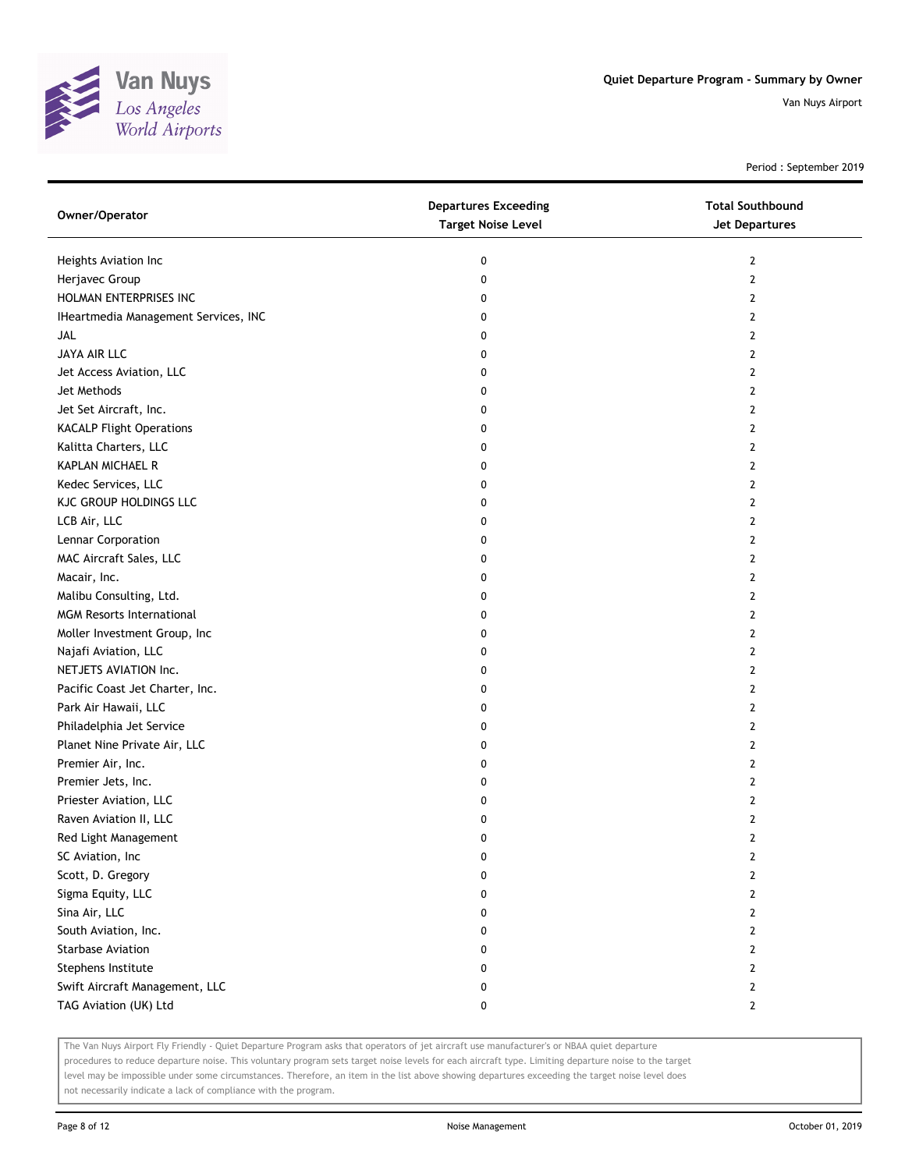

Period : September 2019

| Owner/Operator                       | <b>Departures Exceeding</b><br><b>Target Noise Level</b> | <b>Total Southbound</b><br><b>Jet Departures</b> |
|--------------------------------------|----------------------------------------------------------|--------------------------------------------------|
| Heights Aviation Inc                 | 0                                                        | $\mathbf{2}$                                     |
| Herjavec Group                       | 0                                                        | $\overline{2}$                                   |
| HOLMAN ENTERPRISES INC               | 0                                                        | $\mathbf{2}$                                     |
| IHeartmedia Management Services, INC | 0                                                        | 2                                                |
| JAL                                  | 0                                                        | $\overline{2}$                                   |
| JAYA AIR LLC                         | 0                                                        | $\overline{2}$                                   |
| Jet Access Aviation, LLC             | 0                                                        | 2                                                |
| Jet Methods                          | 0                                                        | $\mathbf{2}$                                     |
| Jet Set Aircraft, Inc.               | 0                                                        | 2                                                |
| <b>KACALP Flight Operations</b>      | 0                                                        | 2                                                |
| Kalitta Charters, LLC                | 0                                                        | $\overline{2}$                                   |
| KAPLAN MICHAEL R                     | 0                                                        | 2                                                |
| Kedec Services, LLC                  | 0                                                        | $\mathbf{2}$                                     |
| KJC GROUP HOLDINGS LLC               | 0                                                        | 2                                                |
| LCB Air, LLC                         | 0                                                        | $\overline{2}$                                   |
| Lennar Corporation                   | 0                                                        | $\mathbf{2}$                                     |
| MAC Aircraft Sales, LLC              | 0                                                        | 2                                                |
| Macair, Inc.                         | 0                                                        | $\mathbf{2}$                                     |
| Malibu Consulting, Ltd.              | 0                                                        | 2                                                |
| <b>MGM Resorts International</b>     | 0                                                        | 2                                                |
| Moller Investment Group, Inc         | 0                                                        | $\overline{2}$                                   |
| Najafi Aviation, LLC                 | 0                                                        | 2                                                |
| NETJETS AVIATION Inc.                | 0                                                        | $\mathbf{2}$                                     |
| Pacific Coast Jet Charter, Inc.      | 0                                                        | 2                                                |
| Park Air Hawaii, LLC                 | 0                                                        | $\overline{2}$                                   |
| Philadelphia Jet Service             | 0                                                        | $\mathbf{2}$                                     |
| Planet Nine Private Air, LLC         | 0                                                        | 2                                                |
| Premier Air, Inc.                    | 0                                                        | $\mathbf{2}$                                     |
| Premier Jets, Inc.                   | 0                                                        | 2                                                |
| Priester Aviation, LLC               | 0                                                        | $\overline{2}$                                   |
| Raven Aviation II, LLC               | 0                                                        | 2                                                |
| Red Light Management                 | 0                                                        | $\overline{2}$                                   |
| SC Aviation, Inc                     | 0                                                        | 2                                                |
| Scott, D. Gregory                    | 0                                                        | 2                                                |
| Sigma Equity, LLC                    | 0                                                        | $\mathbf{2}$                                     |
| Sina Air, LLC                        | 0                                                        | $\mathbf{2}$                                     |
| South Aviation, Inc.                 | 0                                                        | $\mathbf{2}$                                     |
| <b>Starbase Aviation</b>             | 0                                                        | $\mathbf{2}$                                     |
| Stephens Institute                   | 0                                                        | 2                                                |
| Swift Aircraft Management, LLC       | 0                                                        | $\mathbf{2}$                                     |
| TAG Aviation (UK) Ltd                | 0                                                        | $\mathbf{2}$                                     |

The Van Nuys Airport Fly Friendly - Quiet Departure Program asks that operators of jet aircraft use manufacturer's or NBAA quiet departure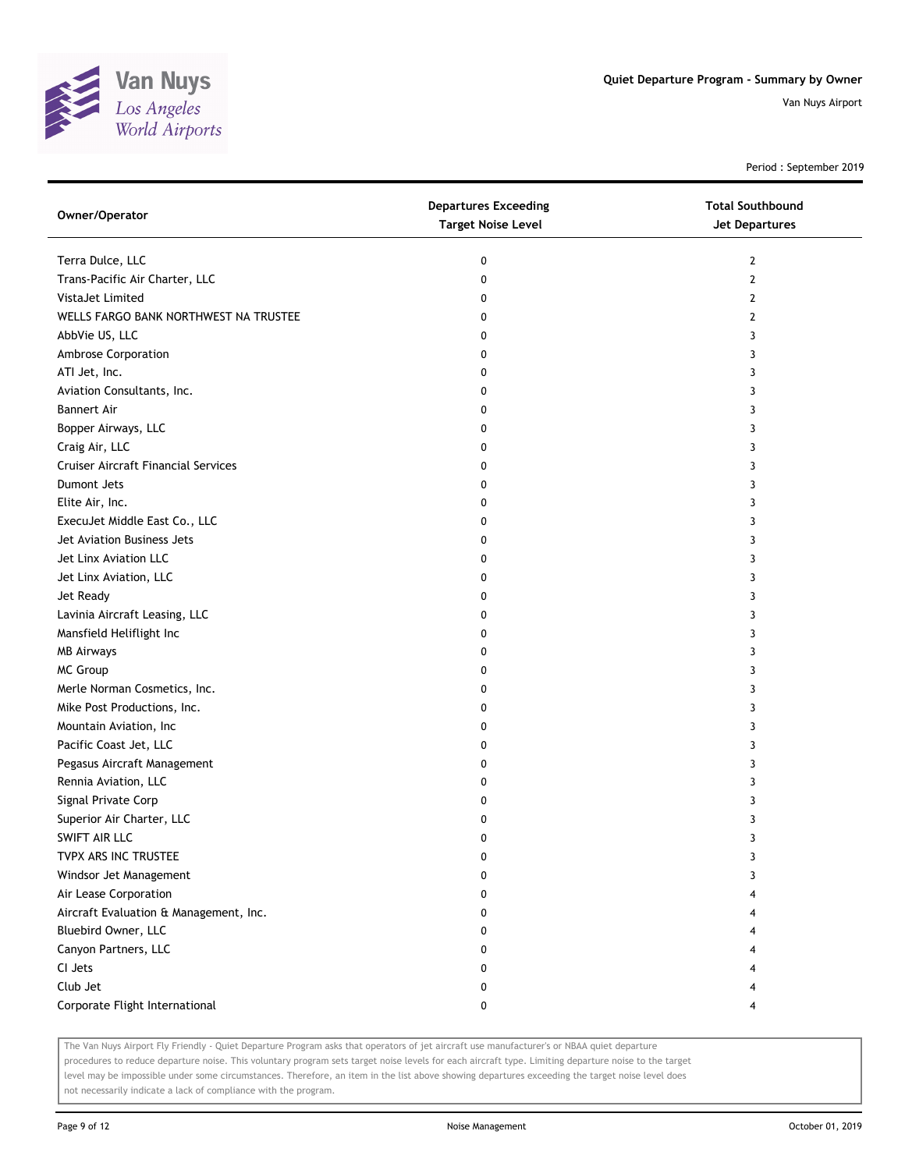

Period : September 2019

| Owner/Operator                         | <b>Departures Exceeding</b><br><b>Target Noise Level</b> | <b>Total Southbound</b><br><b>Jet Departures</b> |
|----------------------------------------|----------------------------------------------------------|--------------------------------------------------|
| Terra Dulce, LLC                       | 0                                                        | $\mathbf{2}$                                     |
| Trans-Pacific Air Charter, LLC         | 0                                                        | 2                                                |
| VistaJet Limited                       | 0                                                        | 2                                                |
| WELLS FARGO BANK NORTHWEST NA TRUSTEE  | 0                                                        | 2                                                |
| AbbVie US, LLC                         | 0                                                        | 3                                                |
| Ambrose Corporation                    | 0                                                        | 3                                                |
| ATI Jet, Inc.                          | 0                                                        | 3                                                |
| Aviation Consultants, Inc.             | 0                                                        | 3                                                |
| <b>Bannert Air</b>                     | 0                                                        | 3                                                |
| Bopper Airways, LLC                    | 0                                                        | 3                                                |
| Craig Air, LLC                         | 0                                                        | 3                                                |
| Cruiser Aircraft Financial Services    | 0                                                        | 3                                                |
| Dumont Jets                            | 0                                                        | 3                                                |
| Elite Air, Inc.                        | 0                                                        | 3                                                |
| ExecuJet Middle East Co., LLC          | 0                                                        | 3                                                |
| Jet Aviation Business Jets             | 0                                                        | 3                                                |
| Jet Linx Aviation LLC                  | 0                                                        | 3                                                |
| Jet Linx Aviation, LLC                 | 0                                                        | 3                                                |
| Jet Ready                              | 0                                                        | 3                                                |
| Lavinia Aircraft Leasing, LLC          | 0                                                        | 3                                                |
| Mansfield Heliflight Inc               | 0                                                        | 3                                                |
| <b>MB Airways</b>                      | 0                                                        | 3                                                |
| MC Group                               | 0                                                        | 3                                                |
| Merle Norman Cosmetics, Inc.           | 0                                                        | 3                                                |
| Mike Post Productions, Inc.            | 0                                                        | 3                                                |
| Mountain Aviation, Inc                 | 0                                                        | 3                                                |
| Pacific Coast Jet, LLC                 | 0                                                        | 3                                                |
| Pegasus Aircraft Management            | 0                                                        | 3                                                |
| Rennia Aviation, LLC                   | 0                                                        | 3                                                |
| Signal Private Corp                    | 0                                                        | 3                                                |
| Superior Air Charter, LLC              | 0                                                        | 3                                                |
| SWIFT AIR LLC                          | 0                                                        | 3                                                |
| TVPX ARS INC TRUSTEE                   | 0                                                        | 3                                                |
| Windsor Jet Management                 | 0                                                        | 3                                                |
| Air Lease Corporation                  | 0                                                        |                                                  |
| Aircraft Evaluation & Management, Inc. | 0                                                        |                                                  |
| Bluebird Owner, LLC                    | 0                                                        |                                                  |
| Canyon Partners, LLC                   | 0                                                        |                                                  |
| CI Jets                                | 0                                                        |                                                  |
| Club Jet                               | 0                                                        |                                                  |
| Corporate Flight International         | 0                                                        | 4                                                |

The Van Nuys Airport Fly Friendly - Quiet Departure Program asks that operators of jet aircraft use manufacturer's or NBAA quiet departure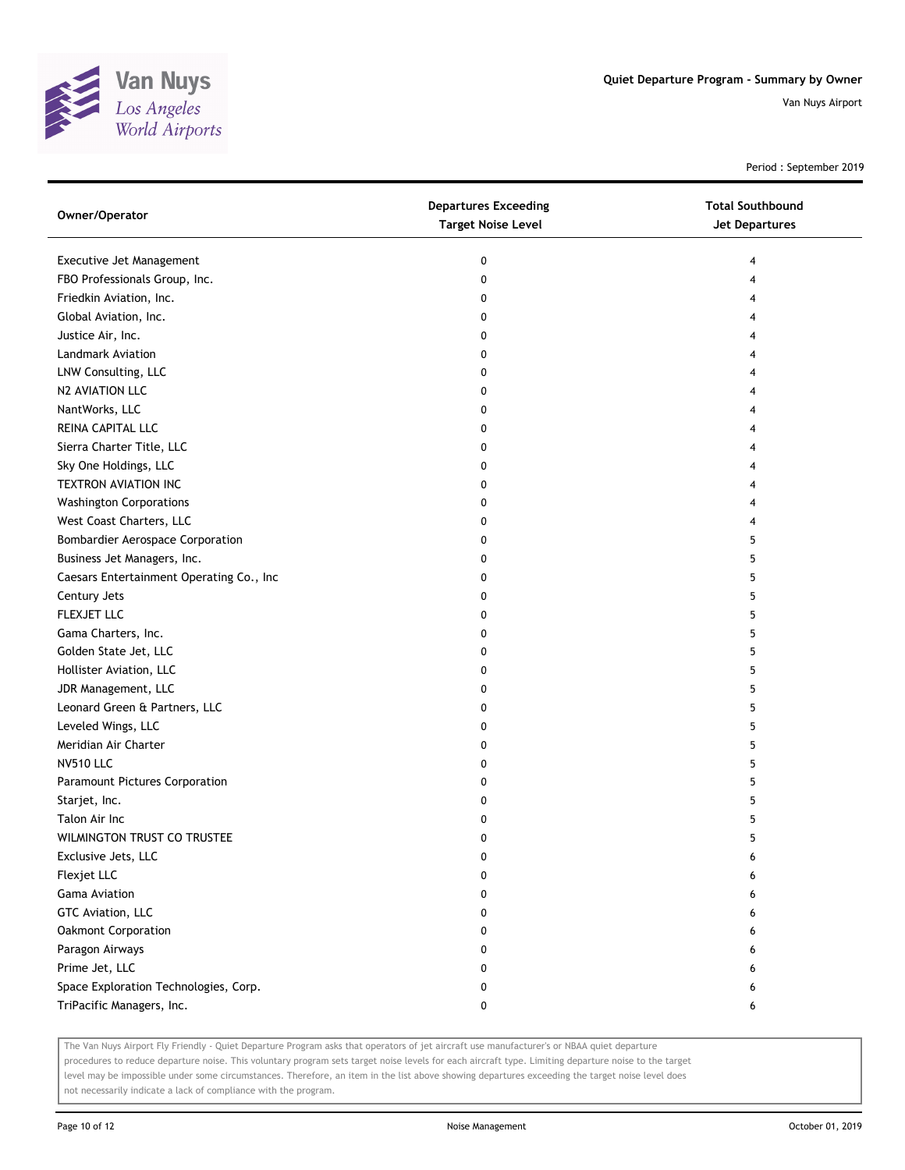

Period : September 2019

| Owner/Operator                           | <b>Departures Exceeding</b><br><b>Target Noise Level</b> | <b>Total Southbound</b><br>Jet Departures |
|------------------------------------------|----------------------------------------------------------|-------------------------------------------|
| Executive Jet Management                 | 0                                                        | 4                                         |
| FBO Professionals Group, Inc.            | 0                                                        | 4                                         |
| Friedkin Aviation, Inc.                  | 0                                                        | 4                                         |
| Global Aviation, Inc.                    | 0                                                        | 4                                         |
| Justice Air, Inc.                        | 0                                                        | 4                                         |
| Landmark Aviation                        | 0                                                        | 4                                         |
| LNW Consulting, LLC                      | 0                                                        | 4                                         |
| N2 AVIATION LLC                          | 0                                                        | 4                                         |
| NantWorks, LLC                           | 0                                                        | 4                                         |
| REINA CAPITAL LLC                        | 0                                                        | 4                                         |
| Sierra Charter Title, LLC                | 0                                                        | 4                                         |
| Sky One Holdings, LLC                    | 0                                                        | 4                                         |
| <b>TEXTRON AVIATION INC</b>              | 0                                                        | 4                                         |
| <b>Washington Corporations</b>           | 0                                                        | 4                                         |
| West Coast Charters, LLC                 | 0                                                        | 4                                         |
| <b>Bombardier Aerospace Corporation</b>  | 0                                                        | 5                                         |
| Business Jet Managers, Inc.              | 0                                                        | 5                                         |
| Caesars Entertainment Operating Co., Inc | 0                                                        | 5                                         |
| Century Jets                             | 0                                                        | 5                                         |
| FLEXJET LLC                              | 0                                                        | 5                                         |
| Gama Charters, Inc.                      | 0                                                        | 5                                         |
| Golden State Jet, LLC                    | 0                                                        | 5                                         |
| Hollister Aviation, LLC                  | 0                                                        | 5                                         |
| JDR Management, LLC                      | 0                                                        | 5                                         |
| Leonard Green & Partners, LLC            | 0                                                        | 5                                         |
| Leveled Wings, LLC                       | 0                                                        | 5                                         |
| Meridian Air Charter                     | 0                                                        | 5                                         |
| <b>NV510 LLC</b>                         | 0                                                        | 5                                         |
| Paramount Pictures Corporation           | 0                                                        | 5                                         |
| Starjet, Inc.                            | 0                                                        | 5                                         |
| Talon Air Inc                            | 0                                                        | 5                                         |
| WILMINGTON TRUST CO TRUSTEE              | 0                                                        | 5                                         |
| Exclusive Jets, LLC                      | 0                                                        | 6                                         |
| Flexjet LLC                              | 0                                                        | 6                                         |
| Gama Aviation                            | 0                                                        | 6                                         |
| GTC Aviation, LLC                        | 0                                                        | 6                                         |
| Oakmont Corporation                      | 0                                                        | 6                                         |
| Paragon Airways                          | 0                                                        | 6                                         |
| Prime Jet, LLC                           | 0                                                        | 6                                         |
| Space Exploration Technologies, Corp.    | 0                                                        | 6                                         |
| TriPacific Managers, Inc.                | 0                                                        | 6                                         |

The Van Nuys Airport Fly Friendly - Quiet Departure Program asks that operators of jet aircraft use manufacturer's or NBAA quiet departure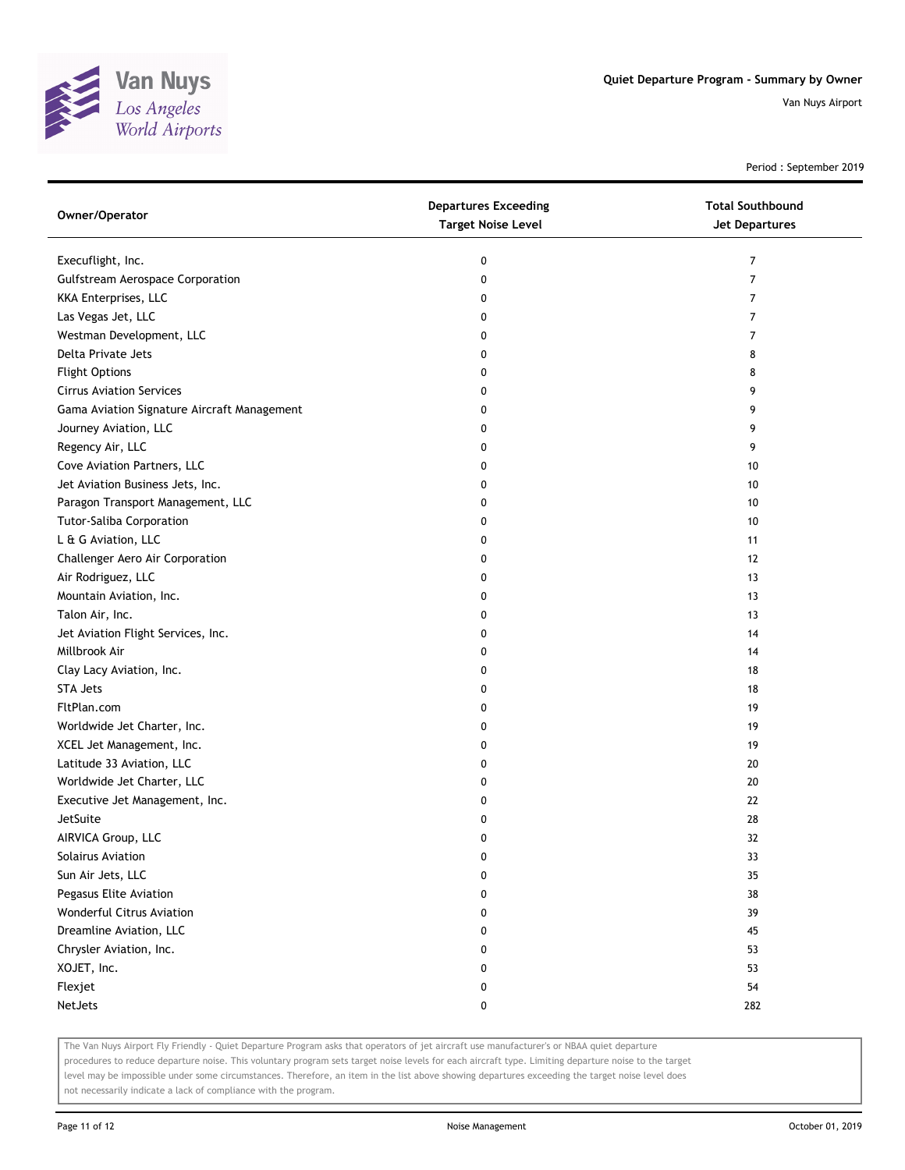

Period : September 2019

| Owner/Operator                              | <b>Departures Exceeding</b><br><b>Target Noise Level</b> | <b>Total Southbound</b><br><b>Jet Departures</b> |
|---------------------------------------------|----------------------------------------------------------|--------------------------------------------------|
| Execuflight, Inc.                           | 0                                                        | 7                                                |
| <b>Gulfstream Aerospace Corporation</b>     | 0                                                        | 7                                                |
| KKA Enterprises, LLC                        | 0                                                        | 7                                                |
| Las Vegas Jet, LLC                          | 0                                                        | $\overline{7}$                                   |
| Westman Development, LLC                    | 0                                                        | 7                                                |
| Delta Private Jets                          | 0                                                        | 8                                                |
| <b>Flight Options</b>                       | 0                                                        | 8                                                |
| <b>Cirrus Aviation Services</b>             | 0                                                        | 9                                                |
| Gama Aviation Signature Aircraft Management | 0                                                        | 9                                                |
| Journey Aviation, LLC                       | 0                                                        | 9                                                |
| Regency Air, LLC                            | 0                                                        | 9                                                |
| Cove Aviation Partners, LLC                 | 0                                                        | 10                                               |
| Jet Aviation Business Jets, Inc.            | 0                                                        | 10                                               |
| Paragon Transport Management, LLC           | 0                                                        | 10                                               |
| Tutor-Saliba Corporation                    | 0                                                        | 10                                               |
| L & G Aviation, LLC                         | 0                                                        | 11                                               |
| Challenger Aero Air Corporation             | 0                                                        | 12                                               |
| Air Rodriguez, LLC                          | 0                                                        | 13                                               |
| Mountain Aviation, Inc.                     | 0                                                        | 13                                               |
| Talon Air, Inc.                             | 0                                                        | 13                                               |
| Jet Aviation Flight Services, Inc.          | 0                                                        | 14                                               |
| Millbrook Air                               | 0                                                        | 14                                               |
| Clay Lacy Aviation, Inc.                    | 0                                                        | 18                                               |
| <b>STA Jets</b>                             | 0                                                        | 18                                               |
| FltPlan.com                                 | 0                                                        | 19                                               |
| Worldwide Jet Charter, Inc.                 | 0                                                        | 19                                               |
| XCEL Jet Management, Inc.                   | 0                                                        | 19                                               |
| Latitude 33 Aviation, LLC                   | 0                                                        | 20                                               |
| Worldwide Jet Charter, LLC                  | 0                                                        | 20                                               |
| Executive Jet Management, Inc.              | 0                                                        | 22                                               |
| JetSuite                                    | 0                                                        | 28                                               |
| AIRVICA Group, LLC                          | 0                                                        | 32                                               |
| Solairus Aviation                           |                                                          | 33                                               |
| Sun Air Jets, LLC                           | 0                                                        | 35                                               |
| Pegasus Elite Aviation                      | 0                                                        | 38                                               |
| Wonderful Citrus Aviation                   | 0                                                        | 39                                               |
| Dreamline Aviation, LLC                     | 0                                                        | 45                                               |
| Chrysler Aviation, Inc.                     | 0                                                        | 53                                               |
| XOJET, Inc.                                 | 0                                                        | 53                                               |
| Flexjet                                     | 0                                                        | 54                                               |
| NetJets                                     | 0                                                        | 282                                              |

The Van Nuys Airport Fly Friendly - Quiet Departure Program asks that operators of jet aircraft use manufacturer's or NBAA quiet departure